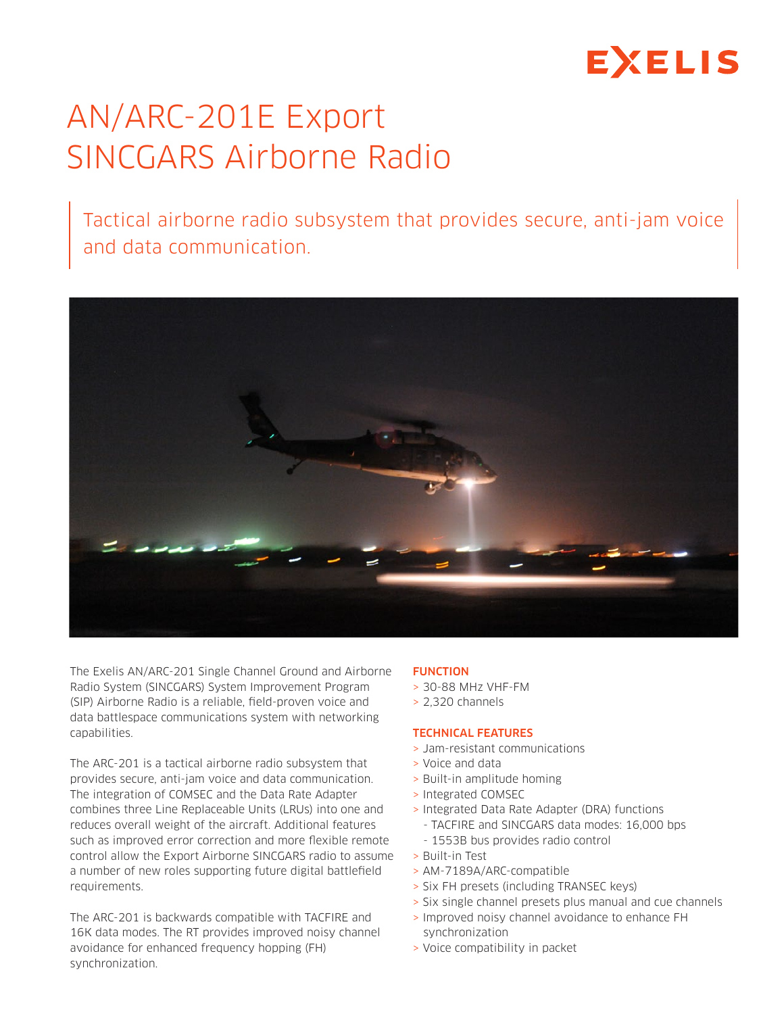# **EXELIS**

# AN/ARC-201E Export SINCGARS Airborne Radio

Tactical airborne radio subsystem that provides secure, anti-jam voice and data communication.



The Exelis AN/ARC-201 Single Channel Ground and Airborne Radio System (SINCGARS) System Improvement Program (SIP) Airborne Radio is a reliable, field-proven voice and data battlespace communications system with networking capabilities.

The ARC-201 is a tactical airborne radio subsystem that provides secure, anti-jam voice and data communication. The integration of COMSEC and the Data Rate Adapter combines three Line Replaceable Units (LRUs) into one and reduces overall weight of the aircraft. Additional features such as improved error correction and more flexible remote control allow the Export Airborne SINCGARS radio to assume a number of new roles supporting future digital battlefield requirements.

The ARC-201 is backwards compatible with TACFIRE and 16K data modes. The RT provides improved noisy channel avoidance for enhanced frequency hopping (FH) synchronization.

### FUNCTION

- > 30-88 MHz VHF-FM
- > 2,320 channels

#### TECHNICAL FEATURES

- > Jam-resistant communications
- > Voice and data
- > Built-in amplitude homing
- > Integrated COMSEC
- > Integrated Data Rate Adapter (DRA) functions
	- TACFIRE and SINCGARS data modes: 16,000 bps
	- 1553B bus provides radio control
- > Built-in Test
- > AM-7189A/ARC-compatible
- > Six FH presets (including TRANSEC keys)
- > Six single channel presets plus manual and cue channels
- > Improved noisy channel avoidance to enhance FH synchronization
- > Voice compatibility in packet